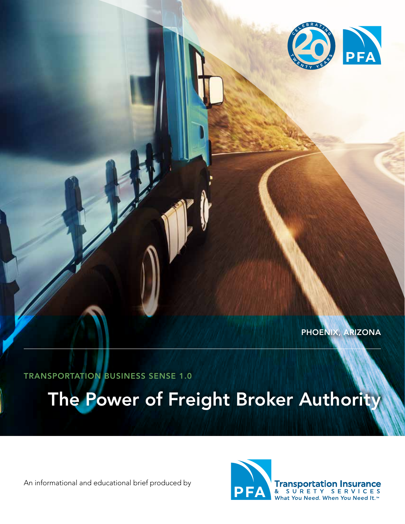

PHOENIX, ARIZONA

TRANSPORTATION BUSINESS SENSE 1.0

The Power of Freight Broker Authority

An informational and educational brief produced by



**Transportation Insurance**<br>& SURETY SERVICES What You Need. When You Need It.<sup>™</sup>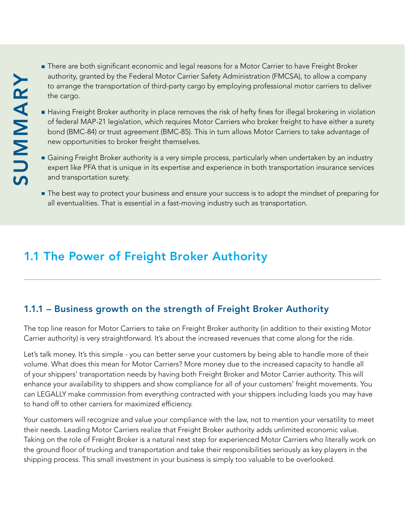- **There are both significant economic and legal reasons for a Motor Carrier to have Freight Broker** authority, granted by the Federal Motor Carrier Safety Administration (FMCSA), to allow a company to arrange the transportation of third-party cargo by employing professional motor carriers to deliver the cargo.
- Having Freight Broker authority in place removes the risk of hefty fines for illegal brokering in violation of federal MAP-21 legislation, which requires Motor Carriers who broker freight to have either a surety bond (BMC-84) or trust agreement (BMC-85). This in turn allows Motor Carriers to take advantage of new opportunities to broker freight themselves.
- Gaining Freight Broker authority is a very simple process, particularly when undertaken by an industry expert like PFA that is unique in its expertise and experience in both transportation insurance services and transportation surety.
- The best way to protect your business and ensure your success is to adopt the mindset of preparing for all eventualities. That is essential in a fast-moving industry such as transportation.

# 1.1 The Power of Freight Broker Authority

### 1.1.1 – Business growth on the strength of Freight Broker Authority

The top line reason for Motor Carriers to take on Freight Broker authority (in addition to their existing Motor Carrier authority) is very straightforward. It's about the increased revenues that come along for the ride.

Let's talk money. It's this simple - you can better serve your customers by being able to handle more of their volume. What does this mean for Motor Carriers? More money due to the increased capacity to handle all of your shippers' transportation needs by having both Freight Broker and Motor Carrier authority. This will enhance your availability to shippers and show compliance for all of your customers' freight movements. You can LEGALLY make commission from everything contracted with your shippers including loads you may have to hand off to other carriers for maximized efficiency. shipping ambatta by the Federal Motor Carriers Saley Administration (FMCSA), too show the small investment in the small investment in the small increases the risk of height for the cargo.<br>
This small include the small inte

Your customers will recognize and value your compliance with the law, not to mention your versatility to meet their needs. Leading Motor Carriers realize that Freight Broker authority adds unlimited economic value. Taking on the role of Freight Broker is a natural next step for experienced Motor Carriers who literally work on the ground floor of trucking and transportation and take their responsibilities seriously as key players in the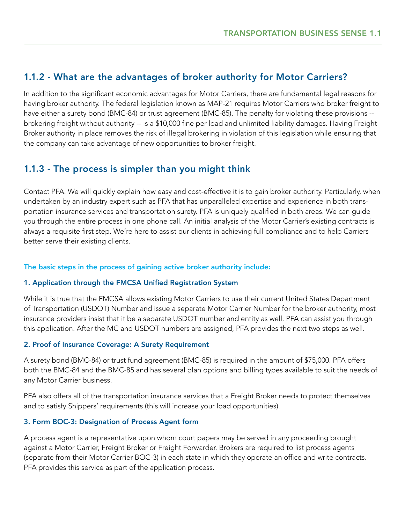### 1.1.2 - What are the advantages of broker authority for Motor Carriers?

In addition to the significant economic advantages for Motor Carriers, there are fundamental legal reasons for having broker authority. The federal legislation known as MAP-21 requires Motor Carriers who broker freight to have either a surety bond (BMC-84) or trust agreement (BMC-85). The penalty for violating these provisions - brokering freight without authority -- is a \$10,000 fine per load and unlimited liability damages. Having Freight Broker authority in place removes the risk of illegal brokering in violation of this legislation while ensuring that the company can take advantage of new opportunities to broker freight.

### 1.1.3 - The process is simpler than you might think

Contact PFA. We will quickly explain how easy and cost-effective it is to gain broker authority. Particularly, when undertaken by an industry expert such as PFA that has unparalleled expertise and experience in both transportation insurance services and transportation surety. PFA is uniquely qualified in both areas. We can guide you through the entire process in one phone call. An initial analysis of the Motor Carrier's existing contracts is always a requisite first step. We're here to assist our clients in achieving full compliance and to help Carriers better serve their existing clients.

#### The basic steps in the process of gaining active broker authority include:

#### 1. Application through the FMCSA Unified Registration System

While it is true that the FMCSA allows existing Motor Carriers to use their current United States Department of Transportation (USDOT) Number and issue a separate Motor Carrier Number for the broker authority, most insurance providers insist that it be a separate USDOT number and entity as well. PFA can assist you through this application. After the MC and USDOT numbers are assigned, PFA provides the next two steps as well.

#### 2. Proof of Insurance Coverage: A Surety Requirement

A surety bond (BMC-84) or trust fund agreement (BMC-85) is required in the amount of \$75,000. PFA offers both the BMC-84 and the BMC-85 and has several plan options and billing types available to suit the needs of any Motor Carrier business.

PFA also offers all of the transportation insurance services that a Freight Broker needs to protect themselves and to satisfy Shippers' requirements (this will increase your load opportunities).

#### 3. Form BOC-3: Designation of Process Agent form

A process agent is a representative upon whom court papers may be served in any proceeding brought against a Motor Carrier, Freight Broker or Freight Forwarder. Brokers are required to list process agents (separate from their Motor Carrier BOC-3) in each state in which they operate an office and write contracts. PFA provides this service as part of the application process.